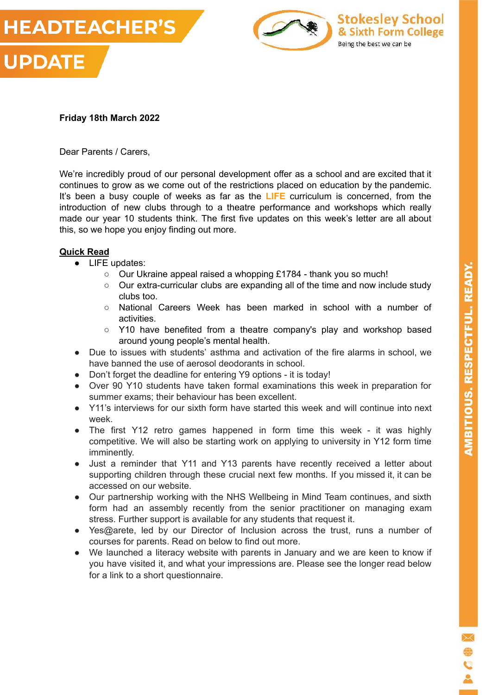



# **Friday 18th March 2022**

Dear Parents / Carers,

We're incredibly proud of our personal development offer as a school and are excited that it continues to grow as we come out of the restrictions placed on education by the pandemic. It's been a busy couple of weeks as far as the **LIFE** curriculum is concerned, from the introduction of new clubs through to a theatre performance and workshops which really made our year 10 students think. The first five updates on this week's letter are all about this, so we hope you enjoy finding out more.

# **Quick Read**

- LIFE updates:
	- Our Ukraine appeal raised a whopping £1784 thank you so much!
	- Our extra-curricular clubs are expanding all of the time and now include study clubs too.
	- National Careers Week has been marked in school with a number of activities.
	- $\circ$  Y10 have benefited from a theatre company's play and workshop based around young people's mental health.
- Due to issues with students' asthma and activation of the fire alarms in school, we have banned the use of aerosol deodorants in school.
- Don't forget the deadline for entering Y9 options it is today!
- Over 90 Y10 students have taken formal examinations this week in preparation for summer exams; their behaviour has been excellent.
- Y11's interviews for our sixth form have started this week and will continue into next week.
- The first Y12 retro games happened in form time this week it was highly competitive. We will also be starting work on applying to university in Y12 form time imminently.
- Just a reminder that Y11 and Y13 parents have recently received a letter about supporting children through these crucial next few months. If you missed it, it can be accessed on our website.
- Our partnership working with the NHS Wellbeing in Mind Team continues, and sixth form had an assembly recently from the senior practitioner on managing exam stress. Further support is available for any students that request it.
- Yes@arete, led by our Director of Inclusion across the trust, runs a number of courses for parents. Read on below to find out more.
- We launched a literacy website with parents in January and we are keen to know if you have visited it, and what your impressions are. Please see the longer read below for a link to a short questionnaire.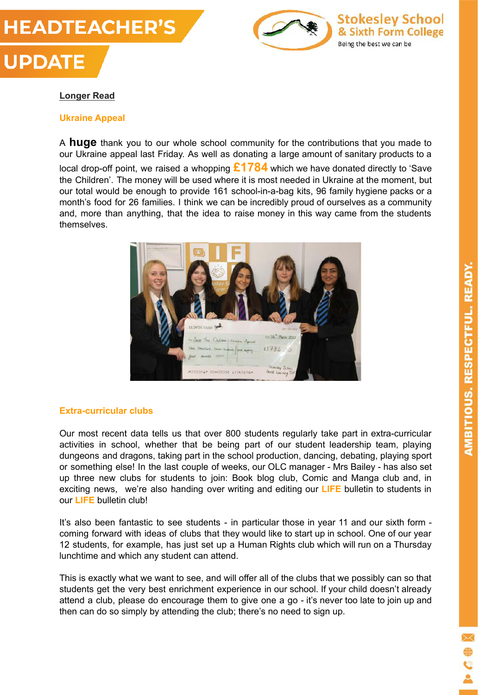# **HEADTEACHER'S UPDATE**



# **Longer Read**

## **Ukraine Appeal**

A **huge** thank you to our whole school community for the contributions that you made to our Ukraine appeal last Friday. As well as donating a large amount of sanitary products to a local drop-off point, we raised a whopping **£1784** which we have donated directly to 'Save the Children'. The money will be used where it is most needed in Ukraine at the moment, but our total would be enough to provide 161 school-in-a-bag kits, 96 family hygiene packs or a month's food for 26 families. I think we can be incredibly proud of ourselves as a community and, more than anything, that the idea to raise money in this way came from the students themselves.



# **Extra-curricular clubs**

Our most recent data tells us that over 800 students regularly take part in extra-curricular activities in school, whether that be being part of our student leadership team, playing dungeons and dragons, taking part in the school production, dancing, debating, playing sport or something else! In the last couple of weeks, our OLC manager - Mrs Bailey - has also set up three new clubs for students to join: Book blog club, Comic and Manga club and, in exciting news, we're also handing over writing and editing our **LIFE** bulletin to students in our **LIFE** bulletin club!

It's also been fantastic to see students - in particular those in year 11 and our sixth form coming forward with ideas of clubs that they would like to start up in school. One of our year 12 students, for example, has just set up a Human Rights club which will run on a Thursday lunchtime and which any student can attend.

This is exactly what we want to see, and will offer all of the clubs that we possibly can so that students get the very best enrichment experience in our school. If your child doesn't already attend a club, please do encourage them to give one a go - it's never too late to join up and then can do so simply by attending the club; there's no need to sign up.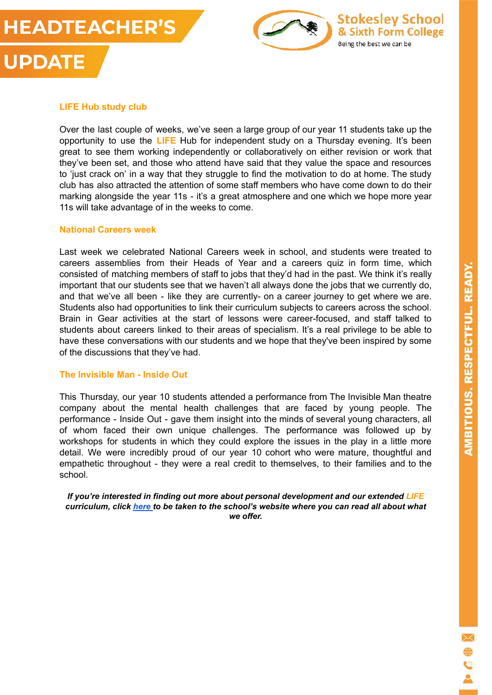**UPDATE** 





# **LIFE Hub study club**

Over the last couple of weeks, we've seen a large group of our year 11 students take up the opportunity to use the **LIFE** Hub for independent study on a Thursday evening. It's been great to see them working independently or collaboratively on either revision or work that they've been set, and those who attend have said that they value the space and resources to 'just crack on' in a way that they struggle to find the motivation to do at home. The study club has also attracted the attention of some staff members who have come down to do their marking alongside the year 11s - it's a great atmosphere and one which we hope more year 11s will take advantage of in the weeks to come.

#### **National Careers week**

Last week we celebrated National Careers week in school, and students were treated to careers assemblies from their Heads of Year and a careers quiz in form time, which consisted of matching members of staff to jobs that they'd had in the past. We think it's really important that our students see that we haven't all always done the jobs that we currently do, and that we've all been - like they are currently- on a career journey to get where we are. Students also had opportunities to link their curriculum subjects to careers across the school. Brain in Gear activities at the start of lessons were career-focused, and staff talked to students about careers linked to their areas of specialism. It's a real privilege to be able to have these conversations with our students and we hope that they've been inspired by some of the discussions that they've had.

## **The Invisible Man - Inside Out**

This Thursday, our year 10 students attended a performance from The Invisible Man theatre company about the mental health challenges that are faced by young people. The performance - Inside Out - gave them insight into the minds of several young characters, all of whom faced their own unique challenges. The performance was followed up by workshops for students in which they could explore the issues in the play in a little more detail. We were incredibly proud of our year 10 cohort who were mature, thoughtful and empathetic throughout - they were a real credit to themselves, to their families and to the school.

*If you're interested in finding out more about personal development and our extended LIFE curriculum, click [here](https://www.stokesleyschool.org/curriculum/personal-development-enrichment/) to be taken to the school's website where you can read all about what we offer.*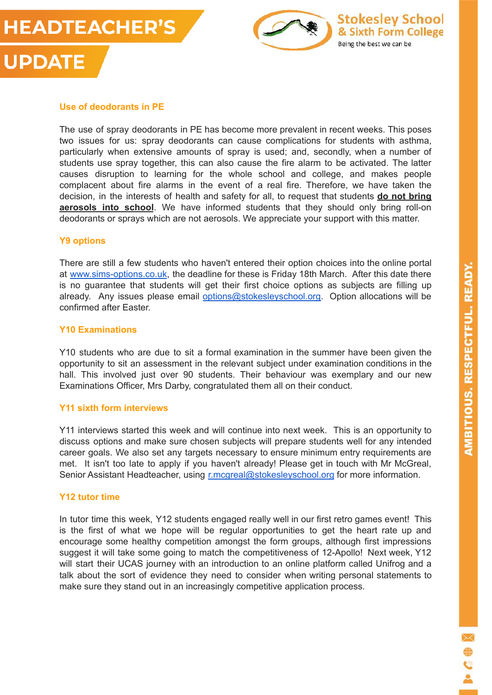





The use of spray deodorants in PE has become more prevalent in recent weeks. This poses two issues for us: spray deodorants can cause complications for students with asthma, particularly when extensive amounts of spray is used; and, secondly, when a number of students use spray together, this can also cause the fire alarm to be activated. The latter causes disruption to learning for the whole school and college, and makes people complacent about fire alarms in the event of a real fire. Therefore, we have taken the decision, in the interests of health and safety for all, to request that students **do not bring aerosols into school**. We have informed students that they should only bring roll-on deodorants or sprays which are not aerosols. We appreciate your support with this matter.

#### **Y9 options**

There are still a few students who haven't entered their option choices into the online portal at [www.sims-options.co.uk](http://www.sims-options.co.uk), the deadline for these is Friday 18th March. After this date there is no guarantee that students will get their first choice options as subjects are filling up already. Any issues please email [options@stokesleyschool.org.](mailto:options@stokesleyschool.org) Option allocations will be confirmed after Easter.

## **Y10 Examinations**

Y10 students who are due to sit a formal examination in the summer have been given the opportunity to sit an assessment in the relevant subject under examination conditions in the hall. This involved just over 90 students. Their behaviour was exemplary and our new Examinations Officer, Mrs Darby, congratulated them all on their conduct.

#### **Y11 sixth form interviews**

Y11 interviews started this week and will continue into next week. This is an opportunity to discuss options and make sure chosen subjects will prepare students well for any intended career goals. We also set any targets necessary to ensure minimum entry requirements are met. It isn't too late to apply if you haven't already! Please get in touch with Mr McGreal, Senior Assistant Headteacher, using [r.mcgreal@stokesleyschool.org](mailto:r.mcgreal@stokesleyschool.org) for more information.

## **Y12 tutor time**

In tutor time this week, Y12 students engaged really well in our first retro games event! This is the first of what we hope will be regular opportunities to get the heart rate up and encourage some healthy competition amongst the form groups, although first impressions suggest it will take some going to match the competitiveness of 12-Apollo! Next week, Y12 will start their UCAS journey with an introduction to an online platform called Unifrog and a talk about the sort of evidence they need to consider when writing personal statements to make sure they stand out in an increasingly competitive application process.